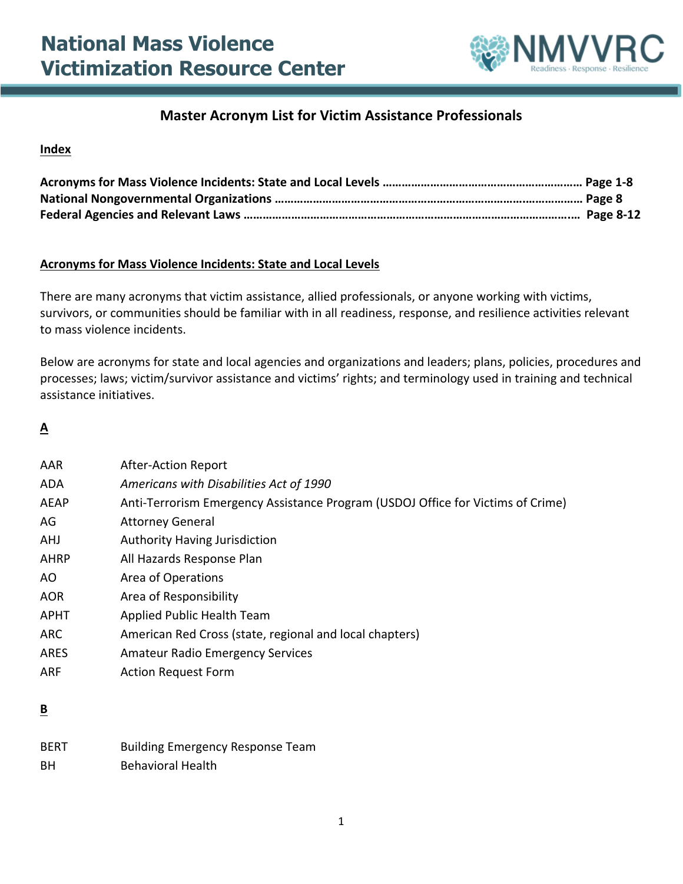

#### **Master Acronym List for Victim Assistance Professionals**

#### **Index**

#### **Acronyms for Mass Violence Incidents: State and Local Levels**

There are many acronyms that victim assistance, allied professionals, or anyone working with victims, survivors, or communities should be familiar with in all readiness, response, and resilience activities relevant to mass violence incidents.

Below are acronyms for state and local agencies and organizations and leaders; plans, policies, procedures and processes; laws; victim/survivor assistance and victims' rights; and terminology used in training and technical assistance initiatives.

#### **A**

| AAR         | <b>After-Action Report</b>                                                      |
|-------------|---------------------------------------------------------------------------------|
| ADA         | Americans with Disabilities Act of 1990                                         |
| <b>AEAP</b> | Anti-Terrorism Emergency Assistance Program (USDOJ Office for Victims of Crime) |
| AG          | <b>Attorney General</b>                                                         |
| AHJ         | <b>Authority Having Jurisdiction</b>                                            |
| <b>AHRP</b> | All Hazards Response Plan                                                       |
| AO.         | Area of Operations                                                              |
| <b>AOR</b>  | Area of Responsibility                                                          |
| <b>APHT</b> | Applied Public Health Team                                                      |
| <b>ARC</b>  | American Red Cross (state, regional and local chapters)                         |
| <b>ARES</b> | <b>Amateur Radio Emergency Services</b>                                         |
| ARF         | <b>Action Request Form</b>                                                      |
|             |                                                                                 |

#### **B**

| <b>BERT</b> | <b>Building Emergency Response Team</b> |
|-------------|-----------------------------------------|
| ВH          | <b>Behavioral Health</b>                |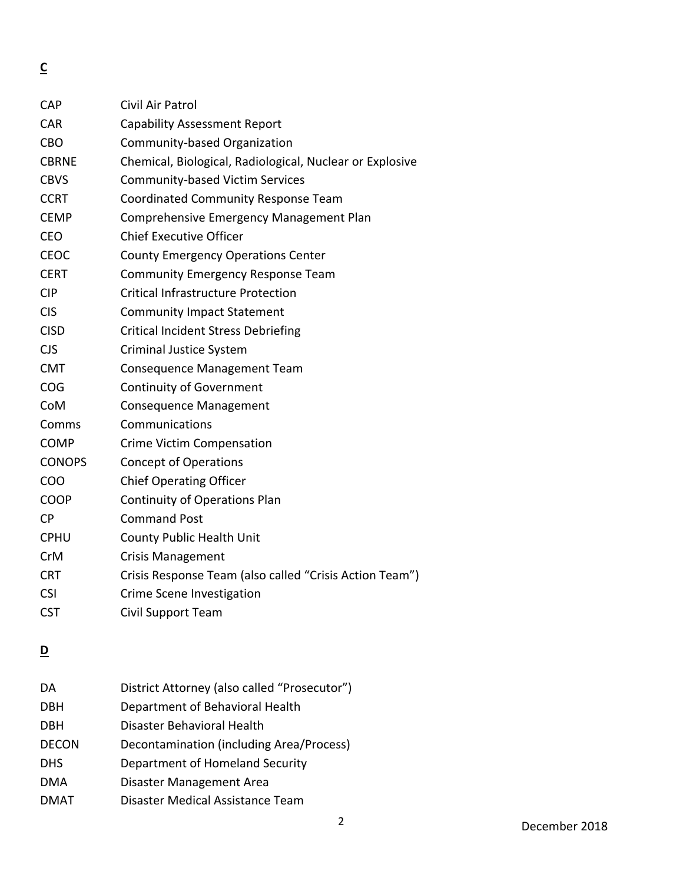**C** 

| <b>CAP</b>    | Civil Air Patrol                                         |
|---------------|----------------------------------------------------------|
| <b>CAR</b>    | <b>Capability Assessment Report</b>                      |
| <b>CBO</b>    | Community-based Organization                             |
| <b>CBRNE</b>  | Chemical, Biological, Radiological, Nuclear or Explosive |
| <b>CBVS</b>   | <b>Community-based Victim Services</b>                   |
| <b>CCRT</b>   | Coordinated Community Response Team                      |
| <b>CEMP</b>   | Comprehensive Emergency Management Plan                  |
| <b>CEO</b>    | <b>Chief Executive Officer</b>                           |
| <b>CEOC</b>   | <b>County Emergency Operations Center</b>                |
| <b>CERT</b>   | <b>Community Emergency Response Team</b>                 |
| <b>CIP</b>    | <b>Critical Infrastructure Protection</b>                |
| <b>CIS</b>    | <b>Community Impact Statement</b>                        |
| <b>CISD</b>   | <b>Critical Incident Stress Debriefing</b>               |
| <b>CJS</b>    | <b>Criminal Justice System</b>                           |
| <b>CMT</b>    | <b>Consequence Management Team</b>                       |
| COG           | <b>Continuity of Government</b>                          |
| CoM           | <b>Consequence Management</b>                            |
| Comms         | Communications                                           |
| <b>COMP</b>   | <b>Crime Victim Compensation</b>                         |
| <b>CONOPS</b> | <b>Concept of Operations</b>                             |
| COO           | <b>Chief Operating Officer</b>                           |
| <b>COOP</b>   | <b>Continuity of Operations Plan</b>                     |
| <b>CP</b>     | <b>Command Post</b>                                      |
| <b>CPHU</b>   | County Public Health Unit                                |
| CrM           | <b>Crisis Management</b>                                 |
| <b>CRT</b>    | Crisis Response Team (also called "Crisis Action Team")  |
| <b>CSI</b>    | Crime Scene Investigation                                |
| <b>CST</b>    | <b>Civil Support Team</b>                                |
|               |                                                          |

### **D**

| DA           | District Attorney (also called "Prosecutor") |
|--------------|----------------------------------------------|
| <b>DBH</b>   | Department of Behavioral Health              |
| <b>DBH</b>   | Disaster Behavioral Health                   |
| <b>DECON</b> | Decontamination (including Area/Process)     |
| <b>DHS</b>   | Department of Homeland Security              |
| <b>DMA</b>   | Disaster Management Area                     |
| <b>DMAT</b>  | Disaster Medical Assistance Team             |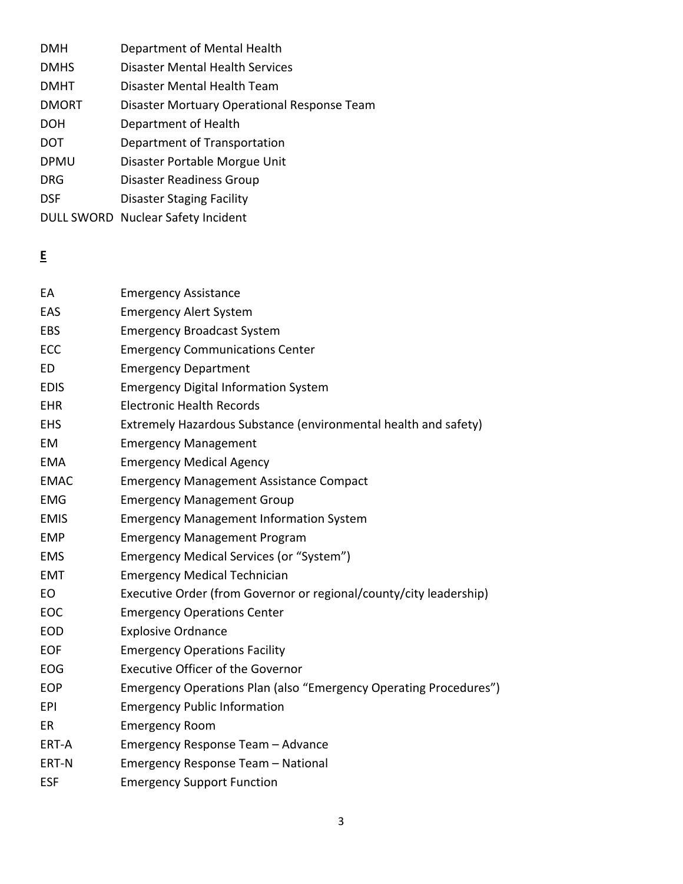| <b>DMH</b>   | Department of Mental Health                 |
|--------------|---------------------------------------------|
| <b>DMHS</b>  | Disaster Mental Health Services             |
| <b>DMHT</b>  | Disaster Mental Health Team                 |
| <b>DMORT</b> | Disaster Mortuary Operational Response Team |
| <b>DOH</b>   | Department of Health                        |
| <b>DOT</b>   | Department of Transportation                |
| <b>DPMU</b>  | Disaster Portable Morgue Unit               |
| <b>DRG</b>   | Disaster Readiness Group                    |
| <b>DSF</b>   | Disaster Staging Facility                   |
|              |                                             |

DULL SWORD Nuclear Safety Incident

**E** 

| EA          | <b>Emergency Assistance</b>                                        |
|-------------|--------------------------------------------------------------------|
| EAS         | <b>Emergency Alert System</b>                                      |
| <b>EBS</b>  | <b>Emergency Broadcast System</b>                                  |
| <b>ECC</b>  | <b>Emergency Communications Center</b>                             |
| <b>ED</b>   | <b>Emergency Department</b>                                        |
| <b>EDIS</b> | <b>Emergency Digital Information System</b>                        |
| <b>EHR</b>  | <b>Electronic Health Records</b>                                   |
| <b>EHS</b>  | Extremely Hazardous Substance (environmental health and safety)    |
| EM          | <b>Emergency Management</b>                                        |
| <b>EMA</b>  | <b>Emergency Medical Agency</b>                                    |
| <b>EMAC</b> | <b>Emergency Management Assistance Compact</b>                     |
| <b>EMG</b>  | <b>Emergency Management Group</b>                                  |
| <b>EMIS</b> | <b>Emergency Management Information System</b>                     |
| <b>EMP</b>  | <b>Emergency Management Program</b>                                |
| <b>EMS</b>  | Emergency Medical Services (or "System")                           |
| <b>EMT</b>  | <b>Emergency Medical Technician</b>                                |
| EO          | Executive Order (from Governor or regional/county/city leadership) |
| EOC         | <b>Emergency Operations Center</b>                                 |
| <b>EOD</b>  | <b>Explosive Ordnance</b>                                          |
| <b>EOF</b>  | <b>Emergency Operations Facility</b>                               |
| EOG         | <b>Executive Officer of the Governor</b>                           |
| <b>EOP</b>  | Emergency Operations Plan (also "Emergency Operating Procedures")  |
| <b>EPI</b>  | <b>Emergency Public Information</b>                                |
| ER          | <b>Emergency Room</b>                                              |
| ERT-A       | Emergency Response Team - Advance                                  |
| ERT-N       | Emergency Response Team - National                                 |
| <b>ESF</b>  | <b>Emergency Support Function</b>                                  |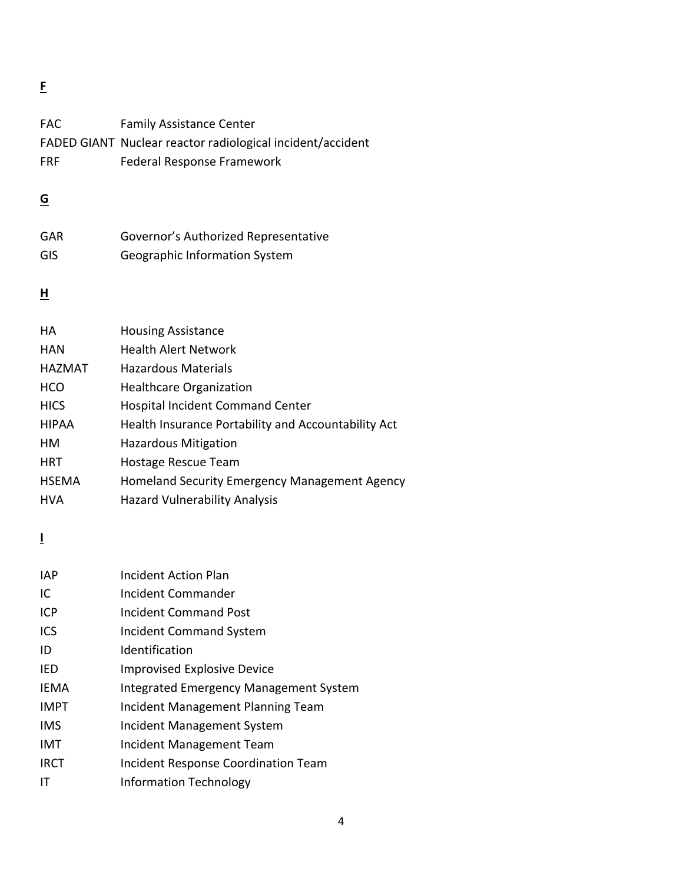**F**

| FAC           | <b>Family Assistance Center</b>                            |
|---------------|------------------------------------------------------------|
|               | FADED GIANT Nuclear reactor radiological incident/accident |
| <b>FRF</b>    | Federal Response Framework                                 |
|               |                                                            |
| <u>G</u>      |                                                            |
|               |                                                            |
| <b>GAR</b>    | Governor's Authorized Representative                       |
| GIS           | Geographic Information System                              |
|               |                                                            |
| н             |                                                            |
| HA            |                                                            |
|               | <b>Housing Assistance</b>                                  |
| <b>HAN</b>    | <b>Health Alert Network</b>                                |
| <b>HAZMAT</b> | <b>Hazardous Materials</b>                                 |
| <b>HCO</b>    | <b>Healthcare Organization</b>                             |
| <b>HICS</b>   | <b>Hospital Incident Command Center</b>                    |
| <b>HIPAA</b>  | Health Insurance Portability and Accountability Act        |
| HM            | <b>Hazardous Mitigation</b>                                |
| HRT           | Hostage Rescue Team                                        |
| <b>HSEMA</b>  | Homeland Security Emergency Management Agency              |
| <b>HVA</b>    | <b>Hazard Vulnerability Analysis</b>                       |
|               |                                                            |

**I**

| <b>IAP</b>  | Incident Action Plan                       |
|-------------|--------------------------------------------|
| IC          | Incident Commander                         |
| <b>ICP</b>  | Incident Command Post                      |
| ICS         | <b>Incident Command System</b>             |
| ID          | Identification                             |
| IED         | <b>Improvised Explosive Device</b>         |
| <b>IEMA</b> | Integrated Emergency Management System     |
| <b>IMPT</b> | Incident Management Planning Team          |
| <b>IMS</b>  | Incident Management System                 |
| IMT         | Incident Management Team                   |
| <b>IRCT</b> | <b>Incident Response Coordination Team</b> |
| IТ          | <b>Information Technology</b>              |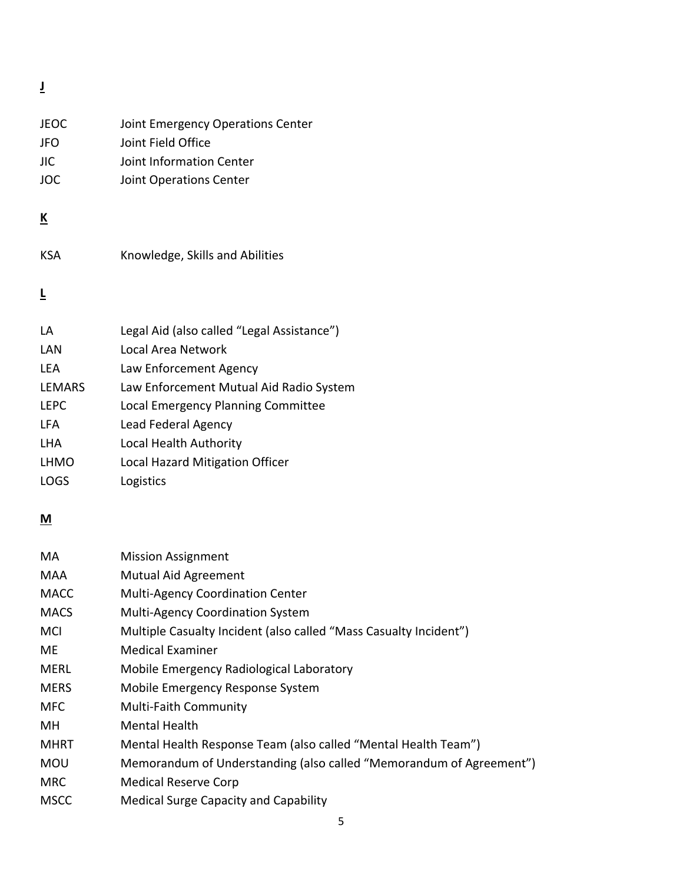**J**

| <b>JEOC</b><br><b>JFO</b><br><b>JIC</b><br>JOC | Joint Emergency Operations Center<br>Joint Field Office<br>Joint Information Center<br>Joint Operations Center |
|------------------------------------------------|----------------------------------------------------------------------------------------------------------------|
| <u>К</u>                                       |                                                                                                                |
| <b>KSA</b>                                     | Knowledge, Skills and Abilities                                                                                |
| Ē                                              |                                                                                                                |
| LA                                             | Legal Aid (also called "Legal Assistance")                                                                     |
| LAN                                            | Local Area Network                                                                                             |
| LEA                                            | Law Enforcement Agency                                                                                         |
| <b>LEMARS</b>                                  | Law Enforcement Mutual Aid Radio System                                                                        |
| <b>LEPC</b>                                    | Local Emergency Planning Committee                                                                             |
| LFA                                            | Lead Federal Agency                                                                                            |
| <b>LHA</b>                                     | Local Health Authority                                                                                         |
| <b>LHMO</b>                                    | Local Hazard Mitigation Officer                                                                                |
| <b>LOGS</b>                                    | Logistics                                                                                                      |
| M                                              |                                                                                                                |
| MA                                             | <b>Mission Assignment</b>                                                                                      |
| ៱៱៱៱                                           | Mutual Aid Agreement                                                                                           |

| <b>MAA</b>  | <b>Mutual Aid Agreement</b>                                         |
|-------------|---------------------------------------------------------------------|
| <b>MACC</b> | <b>Multi-Agency Coordination Center</b>                             |
| <b>MACS</b> | <b>Multi-Agency Coordination System</b>                             |
| <b>MCI</b>  | Multiple Casualty Incident (also called "Mass Casualty Incident")   |
| ME          | <b>Medical Examiner</b>                                             |
| <b>MERL</b> | Mobile Emergency Radiological Laboratory                            |
| <b>MERS</b> | Mobile Emergency Response System                                    |
| <b>MFC</b>  | <b>Multi-Faith Community</b>                                        |
| MН          | <b>Mental Health</b>                                                |
| <b>MHRT</b> | Mental Health Response Team (also called "Mental Health Team")      |
| <b>MOU</b>  | Memorandum of Understanding (also called "Memorandum of Agreement") |
| <b>MRC</b>  | <b>Medical Reserve Corp</b>                                         |
| <b>MSCC</b> | <b>Medical Surge Capacity and Capability</b>                        |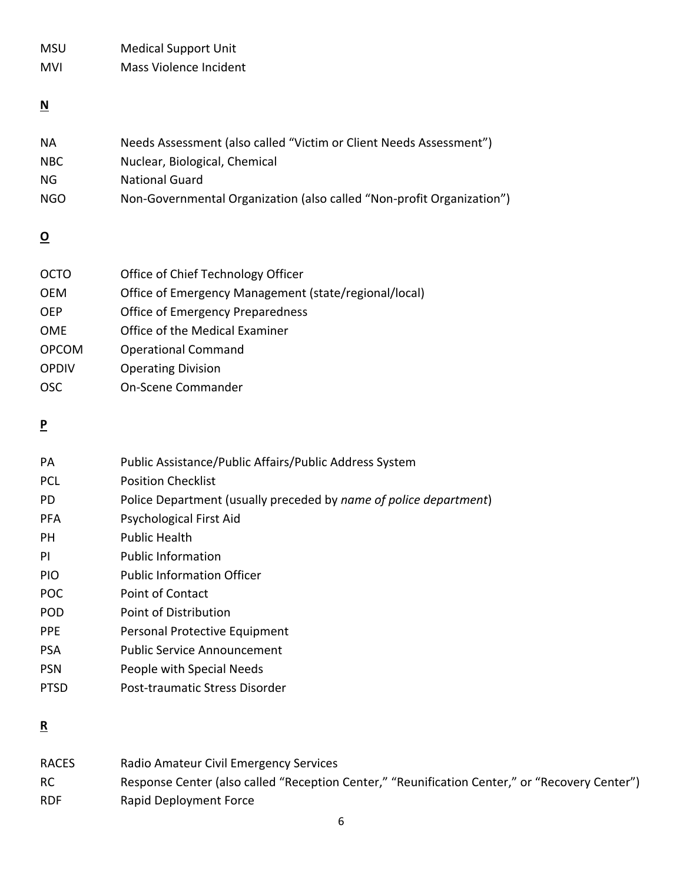| <b>MSU</b> | <b>Medical Support Unit</b> |
|------------|-----------------------------|
| <b>MVI</b> | Mass Violence Incident      |

## **N**

| ΝA   | Needs Assessment (also called "Victim or Client Needs Assessment")    |
|------|-----------------------------------------------------------------------|
| NBC. | Nuclear, Biological, Chemical                                         |
| NG.  | <b>National Guard</b>                                                 |
| NGO. | Non-Governmental Organization (also called "Non-profit Organization") |

### **O**

| Office of Chief Technology Officer                    |
|-------------------------------------------------------|
| Office of Emergency Management (state/regional/local) |
| <b>Office of Emergency Preparedness</b>               |
| Office of the Medical Examiner                        |
| <b>Operational Command</b>                            |
| <b>Operating Division</b>                             |
| On-Scene Commander                                    |
|                                                       |

## **P**

| PA          | Public Assistance/Public Affairs/Public Address System            |
|-------------|-------------------------------------------------------------------|
| <b>PCL</b>  | <b>Position Checklist</b>                                         |
| PD.         | Police Department (usually preceded by name of police department) |
| <b>PFA</b>  | Psychological First Aid                                           |
| PH.         | Public Health                                                     |
| PI          | <b>Public Information</b>                                         |
| <b>PIO</b>  | <b>Public Information Officer</b>                                 |
| <b>POC</b>  | Point of Contact                                                  |
| <b>POD</b>  | Point of Distribution                                             |
| <b>PPF</b>  | Personal Protective Equipment                                     |
| <b>PSA</b>  | Public Service Announcement                                       |
| <b>PSN</b>  | People with Special Needs                                         |
| <b>PTSD</b> | Post-traumatic Stress Disorder                                    |
|             |                                                                   |

### **R**

| <b>RACES</b> | Radio Amateur Civil Emergency Services                                                         |
|--------------|------------------------------------------------------------------------------------------------|
| <b>RC</b>    | Response Center (also called "Reception Center," "Reunification Center," or "Recovery Center") |
| <b>RDF</b>   | Rapid Deployment Force                                                                         |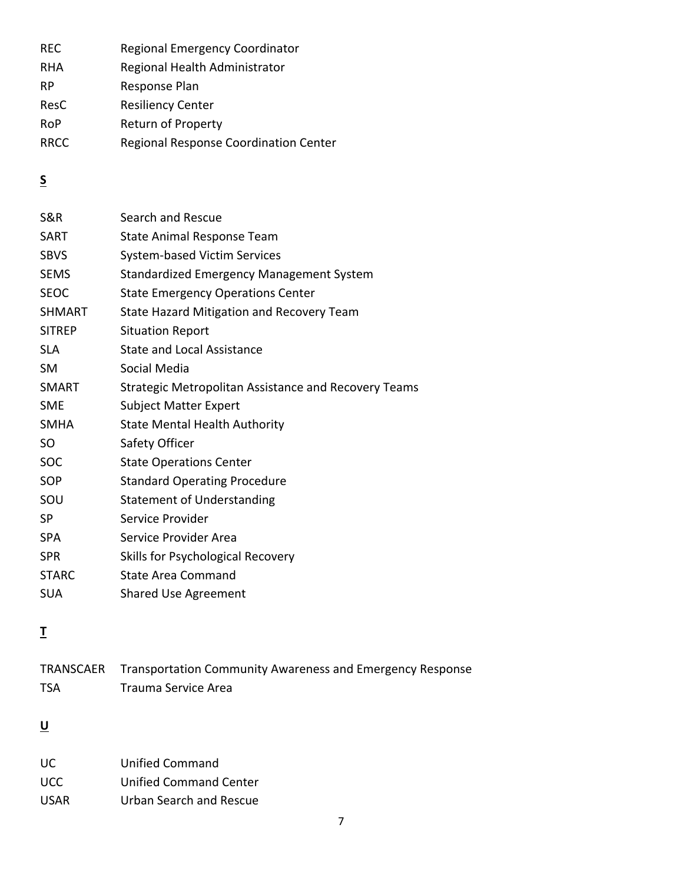| <b>REC</b>  | Regional Emergency Coordinator        |
|-------------|---------------------------------------|
| <b>RHA</b>  | Regional Health Administrator         |
| <b>RP</b>   | Response Plan                         |
| ResC        | <b>Resiliency Center</b>              |
| <b>RoP</b>  | Return of Property                    |
| <b>RRCC</b> | Regional Response Coordination Center |

## **S**

| S&R           | Search and Rescue                                    |
|---------------|------------------------------------------------------|
| SART          | State Animal Response Team                           |
| <b>SBVS</b>   | <b>System-based Victim Services</b>                  |
| <b>SEMS</b>   | Standardized Emergency Management System             |
| <b>SEOC</b>   | <b>State Emergency Operations Center</b>             |
| <b>SHMART</b> | State Hazard Mitigation and Recovery Team            |
| <b>SITREP</b> | <b>Situation Report</b>                              |
| <b>SLA</b>    | <b>State and Local Assistance</b>                    |
| <b>SM</b>     | Social Media                                         |
| <b>SMART</b>  | Strategic Metropolitan Assistance and Recovery Teams |
| <b>SME</b>    | <b>Subject Matter Expert</b>                         |
| <b>SMHA</b>   | <b>State Mental Health Authority</b>                 |
| SO            | Safety Officer                                       |
| <b>SOC</b>    | <b>State Operations Center</b>                       |
| SOP           | <b>Standard Operating Procedure</b>                  |
| SOU           | <b>Statement of Understanding</b>                    |
| <b>SP</b>     | Service Provider                                     |
| <b>SPA</b>    | Service Provider Area                                |
| <b>SPR</b>    | Skills for Psychological Recovery                    |
| <b>STARC</b>  | <b>State Area Command</b>                            |
| <b>SUA</b>    | <b>Shared Use Agreement</b>                          |

# **T**

|            | TRANSCAER Transportation Community Awareness and Emergency Response |
|------------|---------------------------------------------------------------------|
| <b>TSA</b> | Trauma Service Area                                                 |

# **U**

| UC.   | Unified Command         |
|-------|-------------------------|
| UCC.  | Unified Command Center  |
| USAR. | Urban Search and Rescue |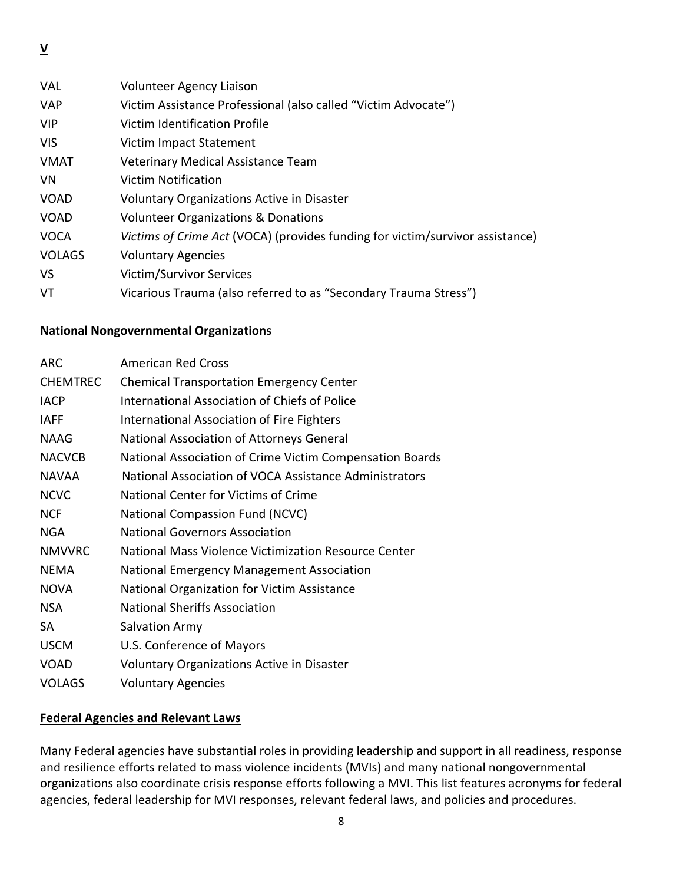VAL Volunteer Agency Liaison VAP Victim Assistance Professional (also called "Victim Advocate") VIP Victim Identification Profile VIS Victim Impact Statement VMAT Veterinary Medical Assistance Team VN Victim Notification VOAD Voluntary Organizations Active in Disaster VOAD Volunteer Organizations & Donations VOCA *Victims of Crime Act* (VOCA) (provides funding for victim/survivor assistance) VOLAGS Voluntary Agencies VS Victim/Survivor Services VT Vicarious Trauma (also referred to as "Secondary Trauma Stress")

#### **National Nongovernmental Organizations**

| <b>ARC</b>      | <b>American Red Cross</b>                                |
|-----------------|----------------------------------------------------------|
| <b>CHEMTREC</b> | <b>Chemical Transportation Emergency Center</b>          |
| <b>IACP</b>     | International Association of Chiefs of Police            |
| <b>IAFF</b>     | International Association of Fire Fighters               |
| <b>NAAG</b>     | National Association of Attorneys General                |
| <b>NACVCB</b>   | National Association of Crime Victim Compensation Boards |
| <b>NAVAA</b>    | National Association of VOCA Assistance Administrators   |
| <b>NCVC</b>     | National Center for Victims of Crime                     |
| <b>NCF</b>      | National Compassion Fund (NCVC)                          |
| <b>NGA</b>      | <b>National Governors Association</b>                    |
| <b>NMVVRC</b>   | National Mass Violence Victimization Resource Center     |
| <b>NEMA</b>     | National Emergency Management Association                |
| <b>NOVA</b>     | National Organization for Victim Assistance              |
| <b>NSA</b>      | <b>National Sheriffs Association</b>                     |
| <b>SA</b>       | <b>Salvation Army</b>                                    |
| <b>USCM</b>     | U.S. Conference of Mayors                                |
| <b>VOAD</b>     | Voluntary Organizations Active in Disaster               |
| <b>VOLAGS</b>   | <b>Voluntary Agencies</b>                                |

#### **Federal Agencies and Relevant Laws**

Many Federal agencies have substantial roles in providing leadership and support in all readiness, response and resilience efforts related to mass violence incidents (MVIs) and many national nongovernmental organizations also coordinate crisis response efforts following a MVI. This list features acronyms for federal agencies, federal leadership for MVI responses, relevant federal laws, and policies and procedures.

**V**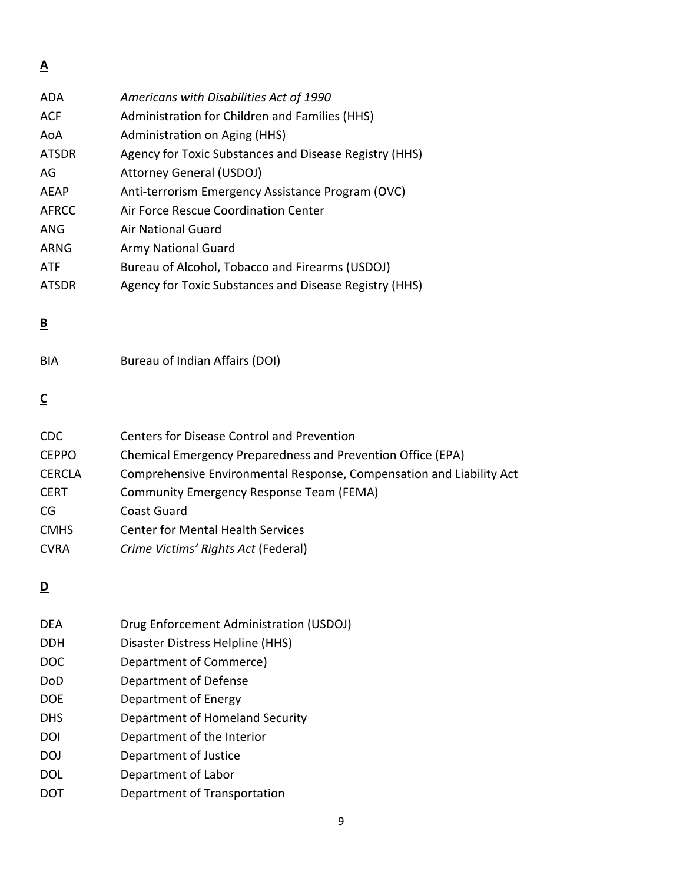**A** 

| <b>ADA</b>   | Americans with Disabilities Act of 1990                |
|--------------|--------------------------------------------------------|
| <b>ACF</b>   | Administration for Children and Families (HHS)         |
| AoA          | Administration on Aging (HHS)                          |
| <b>ATSDR</b> | Agency for Toxic Substances and Disease Registry (HHS) |
| AG           | <b>Attorney General (USDOJ)</b>                        |
| <b>AEAP</b>  | Anti-terrorism Emergency Assistance Program (OVC)      |
| <b>AFRCC</b> | Air Force Rescue Coordination Center                   |
| <b>ANG</b>   | Air National Guard                                     |
| <b>ARNG</b>  | Army National Guard                                    |
| <b>ATF</b>   | Bureau of Alcohol, Tobacco and Firearms (USDOJ)        |
| <b>ATSDR</b> | Agency for Toxic Substances and Disease Registry (HHS) |

## **B**

| BIA | Bureau of Indian Affairs (DOI) |  |
|-----|--------------------------------|--|
|     |                                |  |

# **C**

| <b>Centers for Disease Control and Prevention</b>                    |
|----------------------------------------------------------------------|
| Chemical Emergency Preparedness and Prevention Office (EPA)          |
| Comprehensive Environmental Response, Compensation and Liability Act |
| Community Emergency Response Team (FEMA)                             |
| Coast Guard                                                          |
| <b>Center for Mental Health Services</b>                             |
| Crime Victims' Rights Act (Federal)                                  |
|                                                                      |

## **D**

| <b>DEA</b> | Drug Enforcement Administration (USDOJ) |
|------------|-----------------------------------------|
| <b>DDH</b> | Disaster Distress Helpline (HHS)        |
| <b>DOC</b> | Department of Commerce)                 |
| DoD        | Department of Defense                   |
| <b>DOE</b> | Department of Energy                    |
| <b>DHS</b> | Department of Homeland Security         |
| DOI        | Department of the Interior              |
| <b>DOJ</b> | Department of Justice                   |
| <b>DOL</b> | Department of Labor                     |
|            | Department of Transportation            |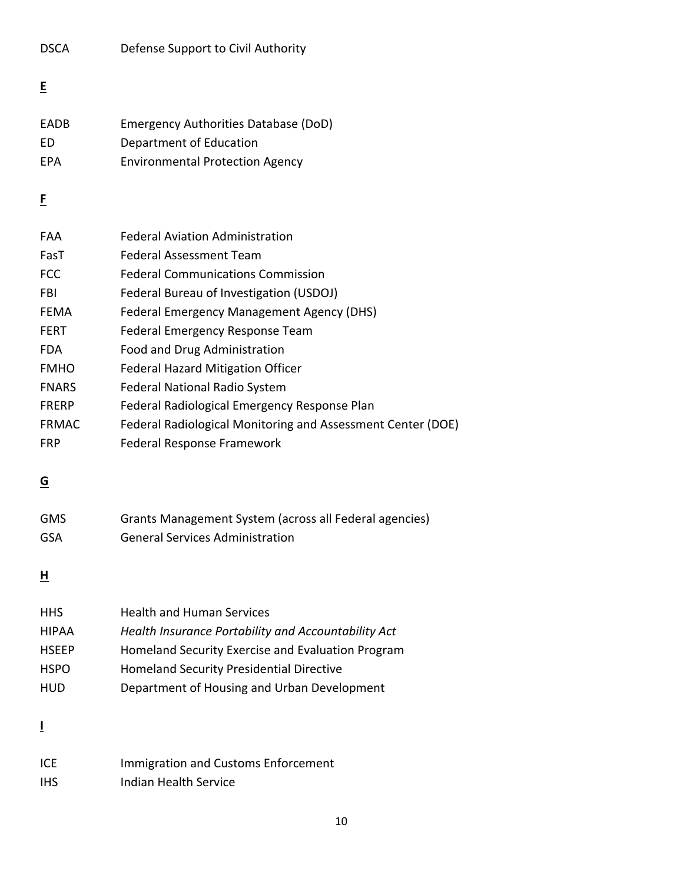| E          |                                        |
|------------|----------------------------------------|
| FADB       | Emergency Authorities Database (DoD)   |
| FD.        | Department of Education                |
| <b>FPA</b> | <b>Environmental Protection Agency</b> |

DSCA Defense Support to Civil Authority

## **F**

| FAA          | <b>Federal Aviation Administration</b>                      |
|--------------|-------------------------------------------------------------|
| FasT         | <b>Federal Assessment Team</b>                              |
| <b>FCC</b>   | <b>Federal Communications Commission</b>                    |
| <b>FBI</b>   | Federal Bureau of Investigation (USDOJ)                     |
| <b>FEMA</b>  | Federal Emergency Management Agency (DHS)                   |
| <b>FERT</b>  | Federal Emergency Response Team                             |
| <b>FDA</b>   | Food and Drug Administration                                |
| <b>FMHO</b>  | <b>Federal Hazard Mitigation Officer</b>                    |
| <b>FNARS</b> | <b>Federal National Radio System</b>                        |
| <b>FRERP</b> | Federal Radiological Emergency Response Plan                |
| <b>FRMAC</b> | Federal Radiological Monitoring and Assessment Center (DOE) |
| <b>FRP</b>   | Federal Response Framework                                  |

## **G**

| <b>GMS</b> | Grants Management System (across all Federal agencies) |
|------------|--------------------------------------------------------|
| GSA        | <b>General Services Administration</b>                 |

## **H**

| <b>HHS</b>   | <b>Health and Human Services</b>                    |
|--------------|-----------------------------------------------------|
| <b>HIPAA</b> | Health Insurance Portability and Accountability Act |
| <b>HSEEP</b> | Homeland Security Exercise and Evaluation Program   |
| <b>HSPO</b>  | <b>Homeland Security Presidential Directive</b>     |
| <b>HUD</b>   | Department of Housing and Urban Development         |

**I**

| <b>ICE</b> | Immigration and Customs Enforcement |
|------------|-------------------------------------|
| <b>IHS</b> | Indian Health Service               |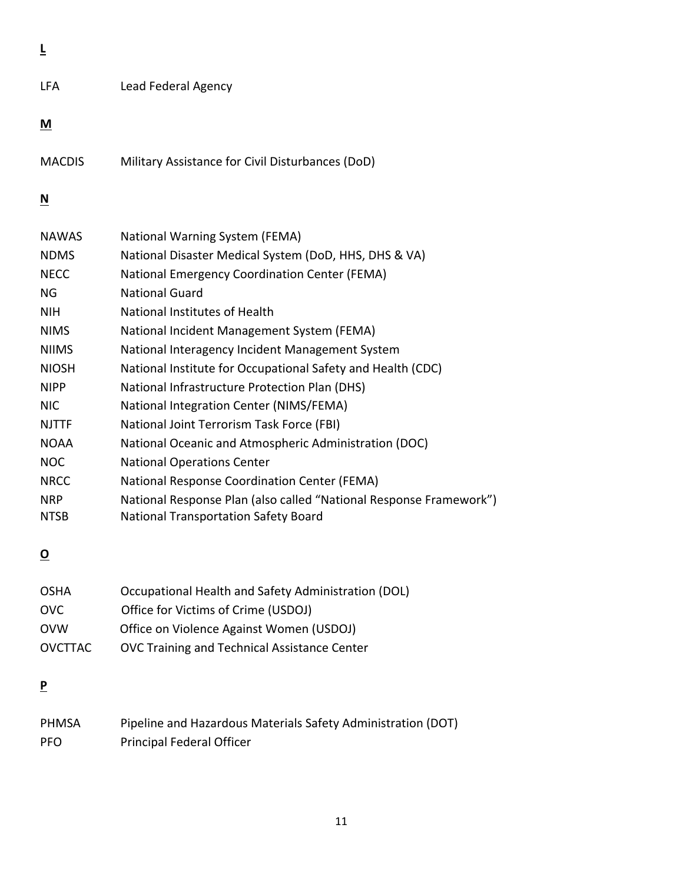**L** 

#### **M**

MACDIS Military Assistance for Civil Disturbances (DoD)

### **N**

| <b>NAWAS</b> | National Warning System (FEMA)                                     |
|--------------|--------------------------------------------------------------------|
| <b>NDMS</b>  | National Disaster Medical System (DoD, HHS, DHS & VA)              |
| <b>NECC</b>  | <b>National Emergency Coordination Center (FEMA)</b>               |
| ΝG           | <b>National Guard</b>                                              |
| <b>NIH</b>   | National Institutes of Health                                      |
| <b>NIMS</b>  | National Incident Management System (FEMA)                         |
| <b>NIIMS</b> | National Interagency Incident Management System                    |
| <b>NIOSH</b> | National Institute for Occupational Safety and Health (CDC)        |
| <b>NIPP</b>  | National Infrastructure Protection Plan (DHS)                      |
| NIC.         | National Integration Center (NIMS/FEMA)                            |
| <b>NJTTF</b> | National Joint Terrorism Task Force (FBI)                          |
| <b>NOAA</b>  | National Oceanic and Atmospheric Administration (DOC)              |
| <b>NOC</b>   | <b>National Operations Center</b>                                  |
| <b>NRCC</b>  | National Response Coordination Center (FEMA)                       |
| <b>NRP</b>   | National Response Plan (also called "National Response Framework") |
| <b>NTSB</b>  | <b>National Transportation Safety Board</b>                        |

## **O**

| <b>OSHA</b>    | Occupational Health and Safety Administration (DOL) |
|----------------|-----------------------------------------------------|
| OVC            | Office for Victims of Crime (USDOJ)                 |
| <b>OVW</b>     | Office on Violence Against Women (USDOJ)            |
| <b>OVCTTAC</b> | OVC Training and Technical Assistance Center        |

### **P**

| <b>PHMSA</b> | Pipeline and Hazardous Materials Safety Administration (DOT) |
|--------------|--------------------------------------------------------------|
| <b>PFO</b>   | <b>Principal Federal Officer</b>                             |